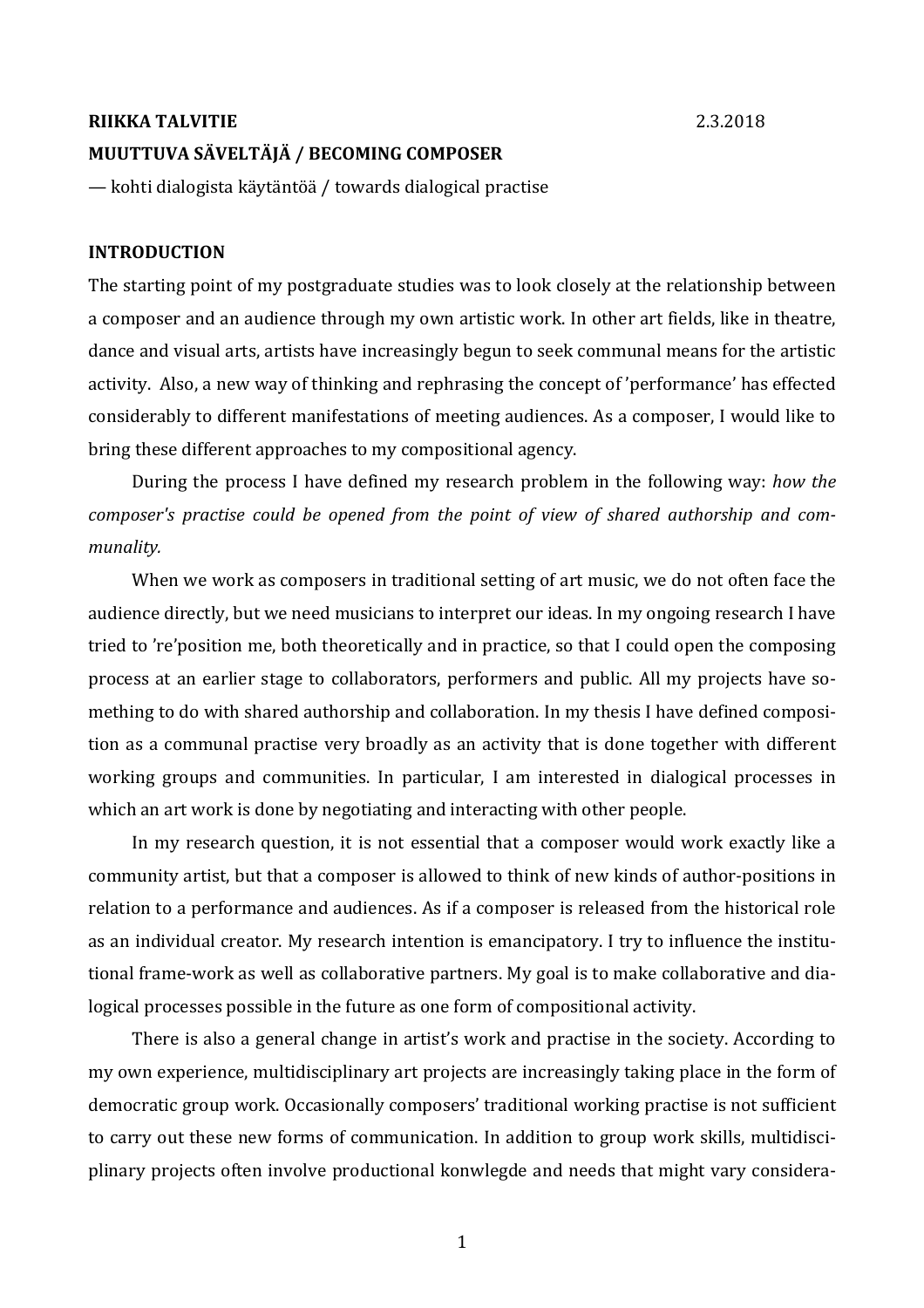### **RIIKKA TALVITIE** 2.3.2018

# **MUUTTUVA SÄVELTÄJÄ / BECOMING COMPOSER**

— kohti dialogista käytäntöä / towards dialogical practise

# **INTRODUCTION**

The starting point of my postgraduate studies was to look closely at the relationship between a composer and an audience through my own artistic work. In other art fields, like in theatre, dance and visual arts, artists have increasingly begun to seek communal means for the artistic activity. Also, a new way of thinking and rephrasing the concept of 'performance' has effected considerably to different manifestations of meeting audiences. As a composer, I would like to bring these different approaches to my compositional agency.

During the process I have defined my research problem in the following way: *how the composer's* practise could be opened from the point of view of shared authorship and com*munality.*

When we work as composers in traditional setting of art music, we do not often face the audience directly, but we need musicians to interpret our ideas. In my ongoing research I have tried to 're'position me, both theoretically and in practice, so that I could open the composing process at an earlier stage to collaborators, performers and public. All my projects have something to do with shared authorship and collaboration. In my thesis I have defined composition as a communal practise very broadly as an activity that is done together with different working groups and communities. In particular, I am interested in dialogical processes in which an art work is done by negotiating and interacting with other people.

In my research question, it is not essential that a composer would work exactly like a community artist, but that a composer is allowed to think of new kinds of author-positions in relation to a performance and audiences. As if a composer is released from the historical role as an individual creator. My research intention is emancipatory. I try to influence the institutional frame-work as well as collaborative partners. My goal is to make collaborative and dialogical processes possible in the future as one form of compositional activity.

There is also a general change in artist's work and practise in the society. According to my own experience, multidisciplinary art projects are increasingly taking place in the form of democratic group work. Occasionally composers' traditional working practise is not sufficient to carry out these new forms of communication. In addition to group work skills, multidisciplinary projects often involve productional konwlegde and needs that might vary considera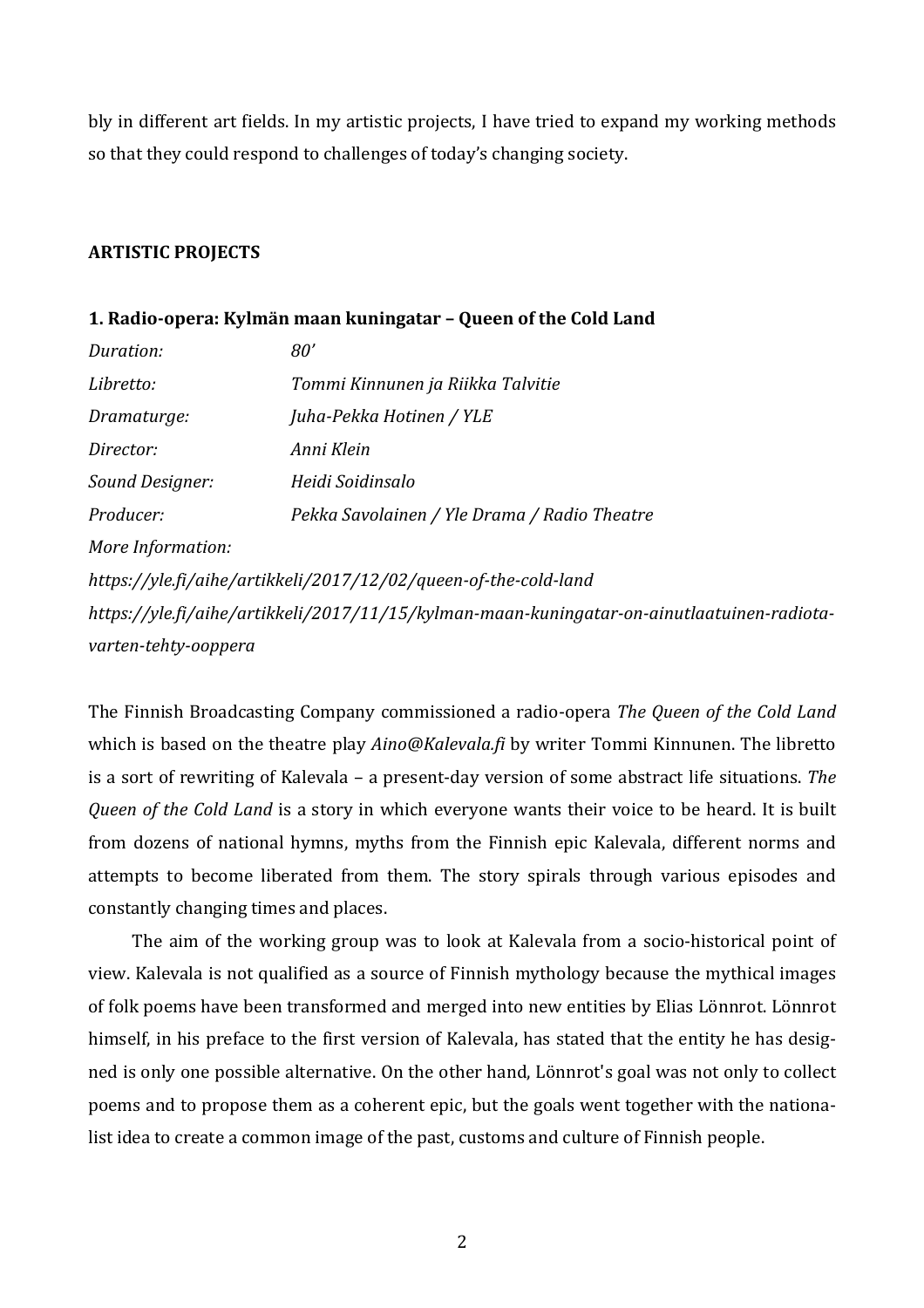bly in different art fields. In my artistic projects, I have tried to expand my working methods so that they could respond to challenges of today's changing society.

# **ARTISTIC PROJECTS**

# **1.** Radio-opera: Kylmän maan kuningatar – Queen of the Cold Land

| Duration:                                                                                  | 80'                                          |  |  |
|--------------------------------------------------------------------------------------------|----------------------------------------------|--|--|
| Libretto:                                                                                  | Tommi Kinnunen ja Riikka Talvitie            |  |  |
| Dramaturge:                                                                                | Juha-Pekka Hotinen / YLE                     |  |  |
| Director:                                                                                  | Anni Klein                                   |  |  |
| Sound Designer:                                                                            | Heidi Soidinsalo                             |  |  |
| Producer:                                                                                  | Pekka Savolainen / Yle Drama / Radio Theatre |  |  |
| More Information:                                                                          |                                              |  |  |
| https://yle.fi/aihe/artikkeli/2017/12/02/queen-of-the-cold-land                            |                                              |  |  |
| https://yle.fi/aihe/artikkeli/2017/11/15/kylman-maan-kuningatar-on-ainutlaatuinen-radiota- |                                              |  |  |
| varten-tehty-ooppera                                                                       |                                              |  |  |

The Finnish Broadcasting Company commissioned a radio-opera *The Queen of the Cold Land* which is based on the theatre play *Aino@Kalevala.fi* by writer Tommi Kinnunen. The libretto is a sort of rewriting of Kalevala – a present-day version of some abstract life situations. The *Queen of the Cold Land* is a story in which everyone wants their voice to be heard. It is built from dozens of national hymns, myths from the Finnish epic Kalevala, different norms and attempts to become liberated from them. The story spirals through various episodes and constantly changing times and places.

The aim of the working group was to look at Kalevala from a socio-historical point of view. Kalevala is not qualified as a source of Finnish mythology because the mythical images of folk poems have been transformed and merged into new entities by Elias Lönnrot. Lönnrot himself, in his preface to the first version of Kalevala, has stated that the entity he has designed is only one possible alternative. On the other hand, Lönnrot's goal was not only to collect poems and to propose them as a coherent epic, but the goals went together with the nationalist idea to create a common image of the past, customs and culture of Finnish people.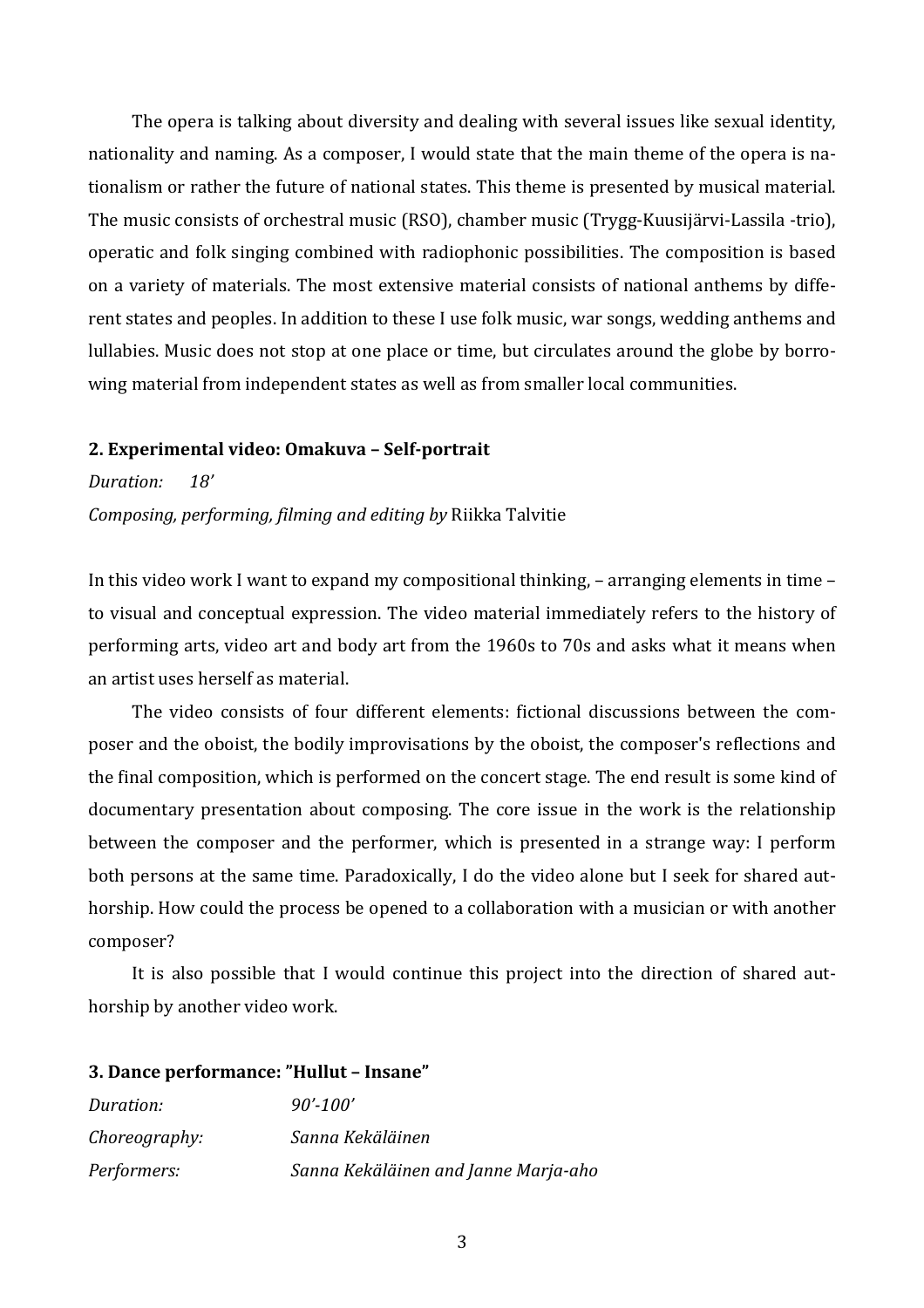The opera is talking about diversity and dealing with several issues like sexual identity, nationality and naming. As a composer, I would state that the main theme of the opera is nationalism or rather the future of national states. This theme is presented by musical material. The music consists of orchestral music (RSO), chamber music (Trygg-Kuusijärvi-Lassila -trio), operatic and folk singing combined with radiophonic possibilities. The composition is based on a variety of materials. The most extensive material consists of national anthems by different states and peoples. In addition to these I use folk music, war songs, wedding anthems and lullabies. Music does not stop at one place or time, but circulates around the globe by borrowing material from independent states as well as from smaller local communities.

#### **2. Experimental video: Omakuva – Self-portrait**

*Duration: 18' Composing, performing, filming and editing by Riikka Talvitie* 

In this video work I want to expand my compositional thinking,  $-$  arranging elements in time  $$ to visual and conceptual expression. The video material immediately refers to the history of performing arts, video art and body art from the 1960s to 70s and asks what it means when an artist uses herself as material.

The video consists of four different elements: fictional discussions between the composer and the oboist, the bodily improvisations by the oboist, the composer's reflections and the final composition, which is performed on the concert stage. The end result is some kind of documentary presentation about composing. The core issue in the work is the relationship between the composer and the performer, which is presented in a strange way: I perform both persons at the same time. Paradoxically, I do the video alone but I seek for shared authorship. How could the process be opened to a collaboration with a musician or with another composer? 

It is also possible that I would continue this project into the direction of shared authorship by another video work.

# **3. Dance performance: "Hullut – Insane"**

| Duration:     | $90'$ -100'                          |
|---------------|--------------------------------------|
| Choreography: | Sanna Kekäläinen                     |
| Performers:   | Sanna Kekäläinen and Janne Marja-aho |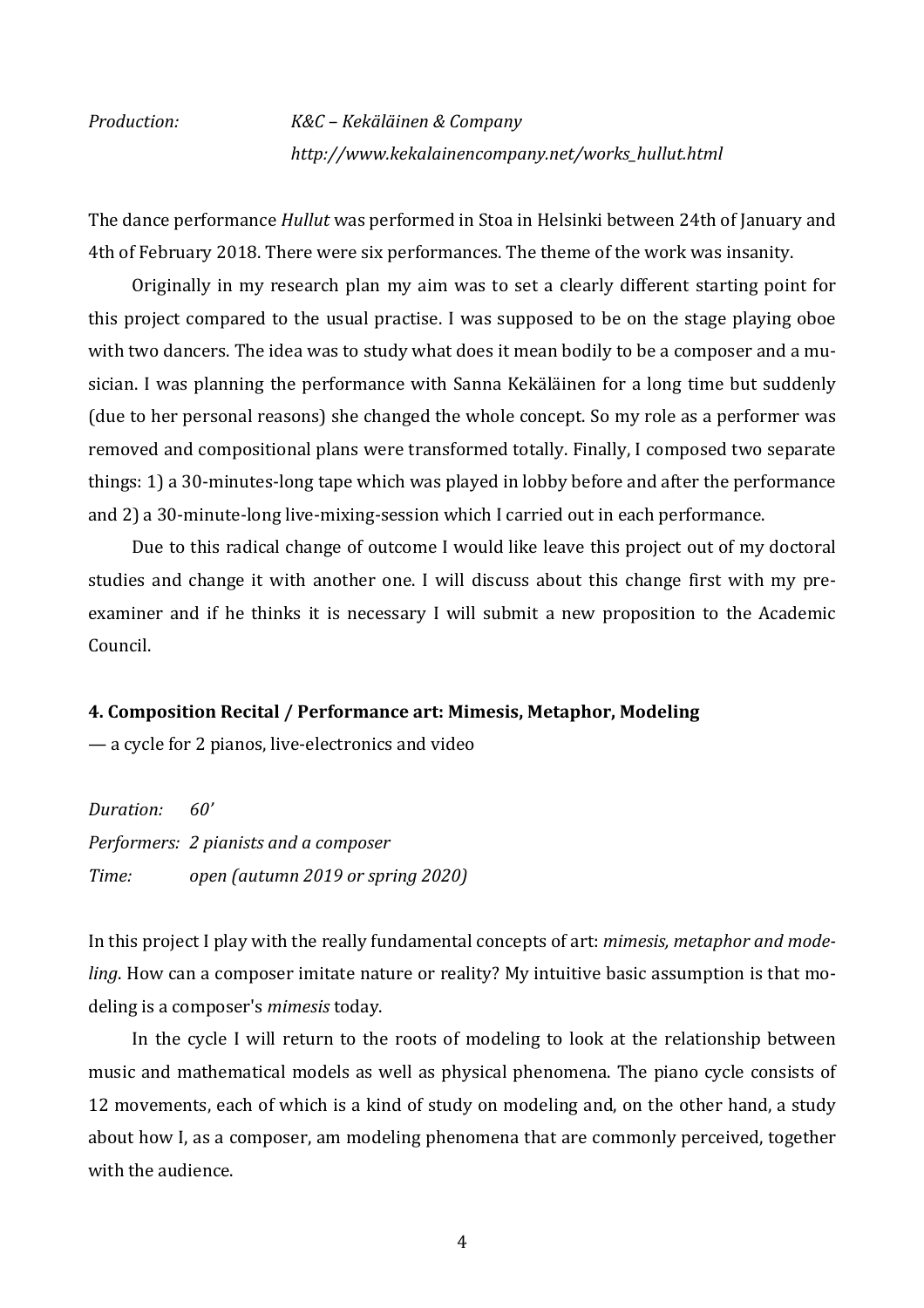*Production: K&C – Kekäläinen & Company http://www.kekalainencompany.net/works\_hullut.html*

The dance performance *Hullut* was performed in Stoa in Helsinki between 24th of January and 4th of February 2018. There were six performances. The theme of the work was insanity.

Originally in my research plan my aim was to set a clearly different starting point for this project compared to the usual practise. I was supposed to be on the stage playing oboe with two dancers. The idea was to study what does it mean bodily to be a composer and a musician. I was planning the performance with Sanna Kekäläinen for a long time but suddenly (due to her personal reasons) she changed the whole concept. So my role as a performer was removed and compositional plans were transformed totally. Finally, I composed two separate things: 1) a 30-minutes-long tape which was played in lobby before and after the performance and 2) a 30-minute-long live-mixing-session which I carried out in each performance.

Due to this radical change of outcome I would like leave this project out of my doctoral studies and change it with another one. I will discuss about this change first with my preexaminer and if he thinks it is necessary I will submit a new proposition to the Academic Council.

#### **4. Composition Recital / Performance art: Mimesis, Metaphor, Modeling**

— a cycle for 2 pianos, live-electronics and video

*Duration: 60' Performers: 2 pianists and a composer Time: open (autumn 2019 or spring 2020)*

In this project I play with the really fundamental concepts of art: *mimesis, metaphor and modeling*. How can a composer imitate nature or reality? My intuitive basic assumption is that modeling is a composer's *mimesis* today.

In the cycle I will return to the roots of modeling to look at the relationship between music and mathematical models as well as physical phenomena. The piano cycle consists of 12 movements, each of which is a kind of study on modeling and, on the other hand, a study about how I, as a composer, am modeling phenomena that are commonly perceived, together with the audience.

4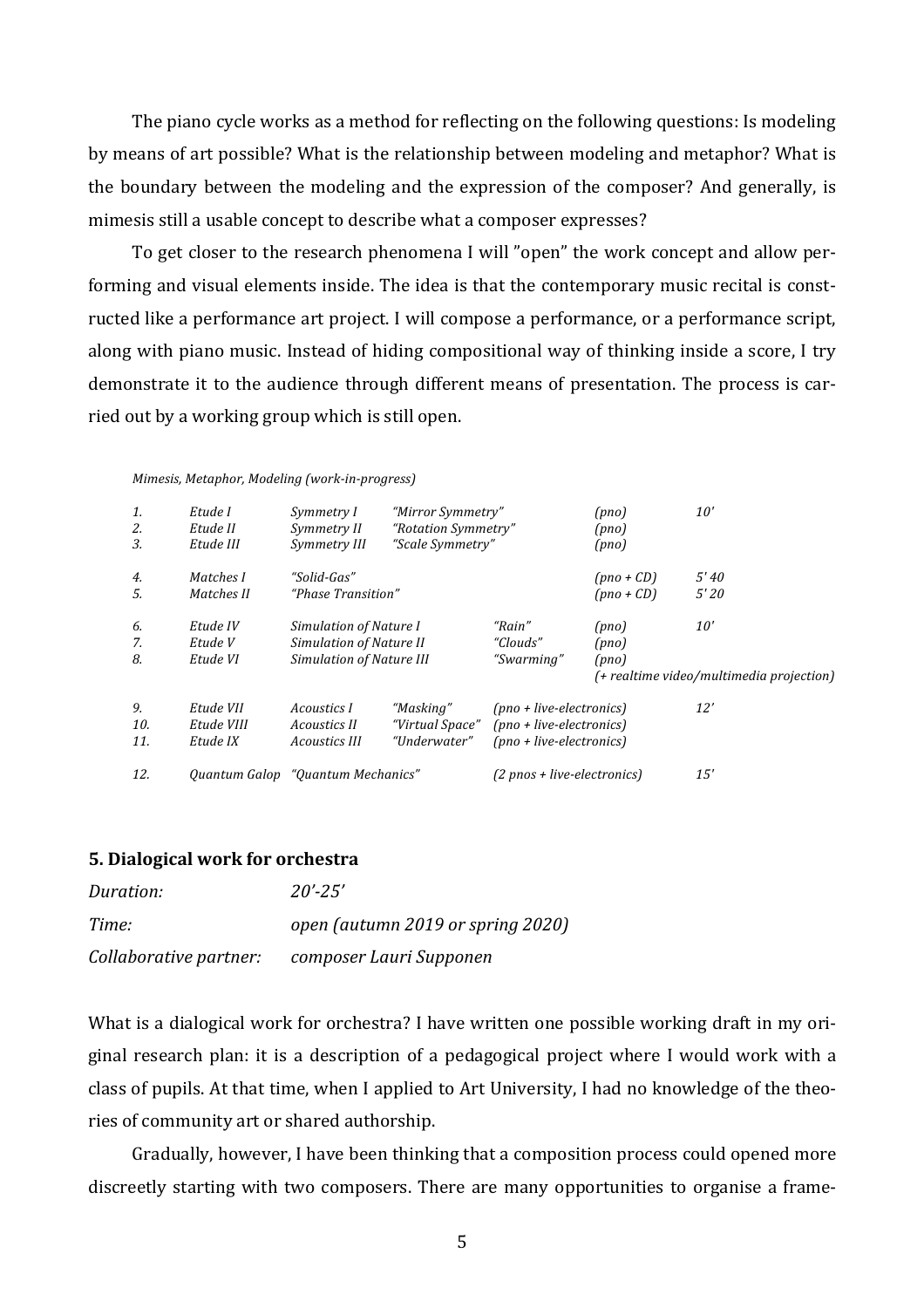The piano cycle works as a method for reflecting on the following questions: Is modeling by means of art possible? What is the relationship between modeling and metaphor? What is the boundary between the modeling and the expression of the composer? And generally, is mimesis still a usable concept to describe what a composer expresses?

To get closer to the research phenomena I will "open" the work concept and allow performing and visual elements inside. The idea is that the contemporary music recital is constructed like a performance art project. I will compose a performance, or a performance script, along with piano music. Instead of hiding compositional way of thinking inside a score, I try demonstrate it to the audience through different means of presentation. The process is carried out by a working group which is still open.

| 1.<br>2.<br>3.   | Etude I<br>Etude II<br>Etude III    | Symmetry I<br>Symmetry II<br>Symmetry III                                     | "Mirror Symmetry"<br>"Rotation Symmetry"<br>"Scale Symmetry" |                                                                                     | (pno)<br>(pno)<br>(pno)      | 10'                                             |
|------------------|-------------------------------------|-------------------------------------------------------------------------------|--------------------------------------------------------------|-------------------------------------------------------------------------------------|------------------------------|-------------------------------------------------|
| 4.<br>5.         | Matches I<br>Matches II             | "Solid-Gas"<br>"Phase Transition"                                             |                                                              |                                                                                     | $(pno + CD)$<br>$(pno + CD)$ | 5'40<br>5'20                                    |
| 6.<br>7.<br>8.   | Etude IV<br>Etude V<br>Etude VI     | Simulation of Nature I<br>Simulation of Nature II<br>Simulation of Nature III |                                                              | "Rain"<br>"Clouds"<br>"Swarming"                                                    | (pno)<br>(pno)<br>(pno)      | 10'<br>(+ realtime video/multimedia projection) |
| 9.<br>10.<br>11. | Etude VII<br>Etude VIII<br>Etude IX | Acoustics I<br>Acoustics II<br>Acoustics III                                  | "Masking"<br>"Virtual Space"<br>"Underwater"                 | $(pno + live-electronic)$<br>$(pno + live-electronic)$<br>$(pno + live-electronic)$ |                              | 12'                                             |
| 12.              |                                     | Quantum Galop "Quantum Mechanics"                                             |                                                              | $(2 \text{ pnos} + \text{live-electronics})$                                        |                              | 15'                                             |

#### *Mimesis, Metaphor, Modeling (work-in-progress)*

#### **5. Dialogical work for orchestra**

| Duration:              | $20' - 25'$                       |
|------------------------|-----------------------------------|
| Time:                  | open (autumn 2019 or spring 2020) |
| Collaborative partner: | composer Lauri Supponen           |

What is a dialogical work for orchestra? I have written one possible working draft in my original research plan: it is a description of a pedagogical project where I would work with a class of pupils. At that time, when I applied to Art University, I had no knowledge of the theories of community art or shared authorship.

Gradually, however, I have been thinking that a composition process could opened more discreetly starting with two composers. There are many opportunities to organise a frame